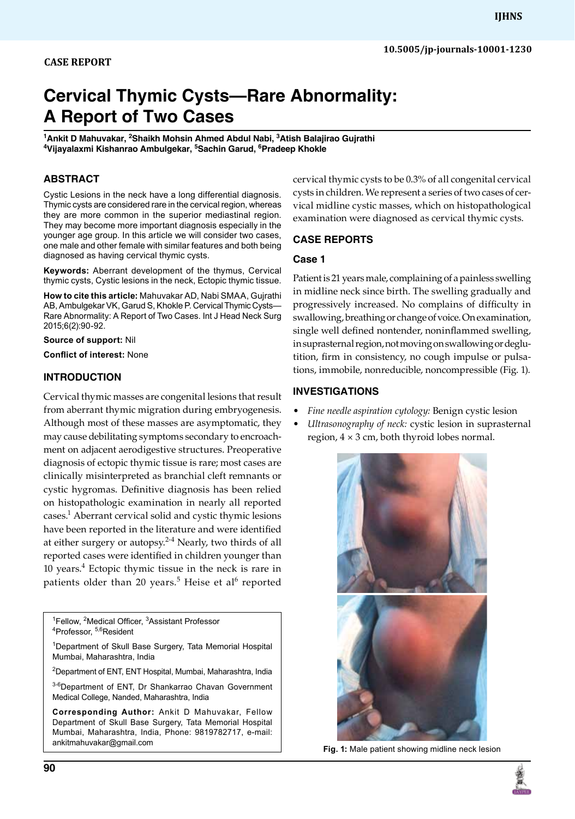# **Cervical Thymic Cysts—Rare Abnormality: A Report of Two Cases**

<sup>1</sup>Ankit D Mahuvakar, <sup>2</sup>Shaikh Mohsin Ahmed Abdul Nabi, <sup>3</sup>Atish Balajirao Gujrathi<br><sup>4</sup>Vijavalaymi Kishanrao Ambulgekar, <sup>5</sup>Sachin Garud, <sup>6</sup>Pradeen Khokle **Vijayalaxmi Kishanrao Ambulgekar, 5 Sachin Garud, 6 Pradeep Khokle**

# **ABSTRACT**

Cystic Lesions in the neck have a long differential diagnosis. Thymic cysts are considered rare in the cervical region, whereas they are more common in the superior mediastinal region. They may become more important diagnosis especially in the younger age group. In this article we will consider two cases, one male and other female with similar features and both being diagnosed as having cervical thymic cysts.

**Keywords:** Aberrant development of the thymus, Cervical thymic cysts, Cystic lesions in the neck, Ectopic thymic tissue.

**How to cite this article:** Mahuvakar AD, Nabi SMAA, Gujrathi AB, Ambulgekar VK, Garud S, Khokle P. Cervical Thymic Cysts— Rare Abnormality: A Report of Two Cases. Int J Head Neck Surg 2015;6(2):90-92.

**Source of support:** Nil

**Conflict of interest:** None

# **Introduction**

Cervical thymic masses are congenital lesions that result from aberrant thymic migration during embryogenesis. Although most of these masses are asymptomatic, they may cause debilitating symptoms secondary to encroachment on adjacent aerodigestive structures. Preoperative diagnosis of ectopic thymic tissue is rare; most cases are clinically misinterpreted as branchial cleft remnants or cystic hygromas. Definitive diagnosis has been relied on histopathologic examination in nearly all reported cases.1 Aberrant cervical solid and cystic thymic lesions have been reported in the literature and were identified at either surgery or autopsy. $2-4$  Nearly, two thirds of all reported cases were identified in children younger than 10 years.4 Ectopic thymic tissue in the neck is rare in patients older than 20 years.<sup>5</sup> Heise et al<sup>6</sup> reported

<sup>1</sup>Fellow, <sup>2</sup>Medical Officer, <sup>3</sup>Assistant Professor<br><sup>4</sup>Professor, <sup>5,6</sup>Resident <sup>4</sup>Professor, <sup>5,6</sup>Resident

<sup>1</sup>Department of Skull Base Surgery, Tata Memorial Hospital Mumbai, Maharashtra, India

<sup>2</sup>Department of ENT, ENT Hospital, Mumbai, Maharashtra, India

3-6Department of ENT, Dr Shankarrao Chavan Government Medical College, Nanded, Maharashtra, India

**Corresponding Author:** Ankit D Mahuvakar, Fellow Department of Skull Base Surgery, Tata Memorial Hospital Mumbai, Maharashtra, India, Phone: 9819782717, e-mail: ankitmahuvakar@gmail.com

cervical thymic cysts to be 0.3% of all congenital cervical cysts in children. We represent a series of two cases of cervical midline cystic masses, which on histopathological examination were diagnosed as cervical thymic cysts.

# **Case reports**

#### **Case 1**

Patient is 21 years male, complaining of a painless swelling in midline neck since birth. The swelling gradually and progressively increased. No complains of difficulty in swallowing, breathing or change of voice. On examination, single well defined nontender, noninflammed swelling, in suprasternal region, not moving on swallowing or deglutition, firm in consistency, no cough impulse or pulsations, immobile, nonreducible, noncompressible (Fig. 1).

# **Investigations**

- *Fine needle aspiration cytology:* Benign cystic lesion
- *Ultrasonography of neck:* cystic lesion in suprasternal region,  $4 \times 3$  cm, both thyroid lobes normal.



**Fig. 1:** Male patient showing midline neck lesion

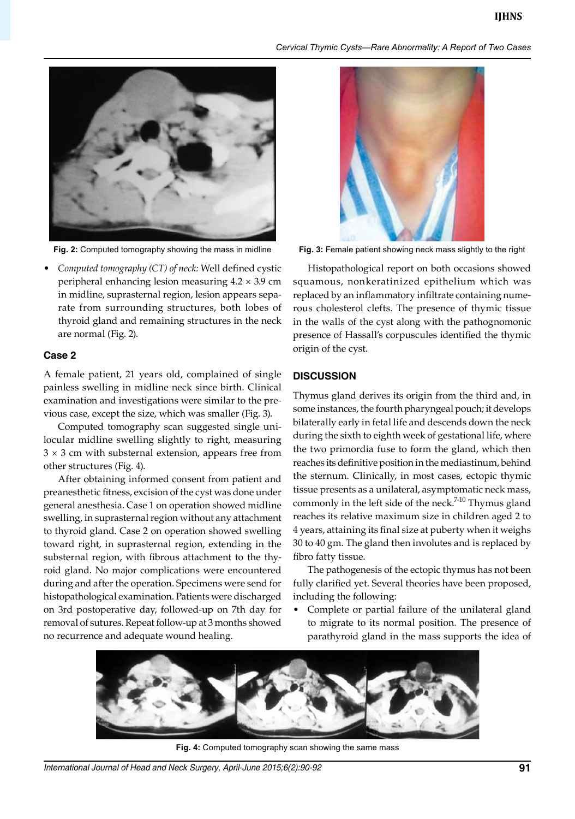*Cervical Thymic Cysts—Rare Abnormality: A Report of Two Cases*



• *Computed tomography (CT) of neck:* Well defined cystic peripheral enhancing lesion measuring 4.2 × 3.9 cm in midline, suprasternal region, lesion appears separate from surrounding structures, both lobes of thyroid gland and remaining structures in the neck are normal (Fig. 2).

# **Case 2**

A female patient, 21 years old, complained of single painless swelling in midline neck since birth. Clinical examination and investigations were similar to the previous case, except the size, which was smaller (Fig. 3).

Computed tomography scan suggested single unilocular midline swelling slightly to right, measuring  $3 \times 3$  cm with substernal extension, appears free from other structures (Fig. 4).

After obtaining informed consent from patient and preanesthetic fitness, excision of the cyst was done under general anesthesia. Case 1 on operation showed midline swelling, in suprasternal region without any attachment to thyroid gland. Case 2 on operation showed swelling toward right, in suprasternal region, extending in the substernal region, with fibrous attachment to the thyroid gland. No major complications were encountered during and after the operation. Specimens were send for histopathological examination. Patients were discharged on 3rd postoperative day, followed-up on 7th day for removal of sutures. Repeat follow-up at 3 months showed no recurrence and adequate wound healing.



**Fig. 2:** Computed tomography showing the mass in midline **Fig. 3:** Female patient showing neck mass slightly to the right

Histopathological report on both occasions showed squamous, nonkeratinized epithelium which was replaced by an inflammatory infiltrate containing numerous cholesterol clefts. The presence of thymic tissue in the walls of the cyst along with the pathognomonic presence of Hassall's corpuscules identified the thymic origin of the cyst.

#### **Discussion**

Thymus gland derives its origin from the third and, in some instances, the fourth pharyngeal pouch; it develops bilaterally early in fetal life and descends down the neck during the sixth to eighth week of gestational life, where the two primordia fuse to form the gland, which then reaches its definitive position in the mediastinum, behind the sternum. Clinically, in most cases, ectopic thymic tissue presents as a unilateral, asymptomatic neck mass, commonly in the left side of the neck.<sup>7-10</sup> Thymus gland reaches its relative maximum size in children aged 2 to 4 years, attaining its final size at puberty when it weighs 30 to 40 gm. The gland then involutes and is replaced by fibro fatty tissue.

The pathogenesis of the ectopic thymus has not been fully clarified yet. Several theories have been proposed, including the following:

• Complete or partial failure of the unilateral gland to migrate to its normal position. The presence of parathyroid gland in the mass supports the idea of



**Fig. 4:** Computed tomography scan showing the same mass